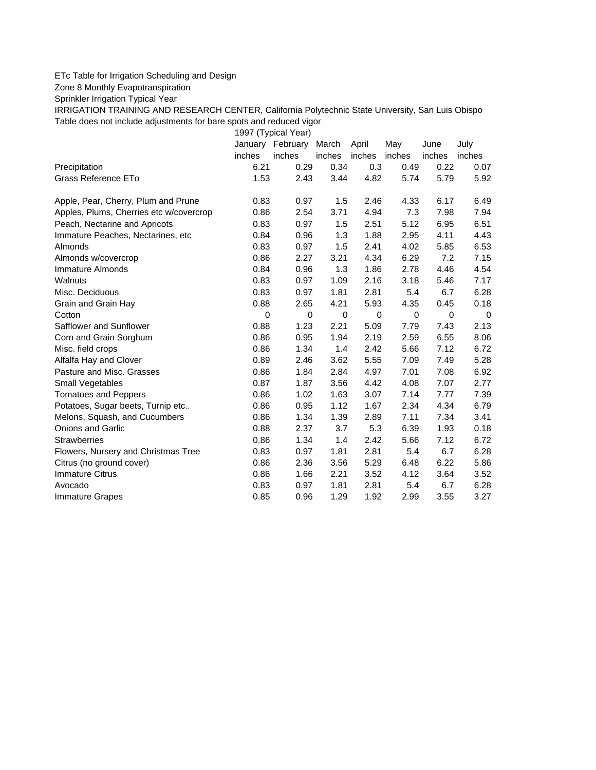## ETc Table for Irrigation Scheduling and Design

Zone 8 Monthly Evapotranspiration

Sprinkler Irrigation Typical Year

IRRIGATION TRAINING AND RESEARCH CENTER, California Polytechnic State University, San Luis Obispo Table does not include adjustments for bare spots and reduced vigor

1997 (Typical Year)

|                                         | January | February | March  | April  | May    | June   | July   |
|-----------------------------------------|---------|----------|--------|--------|--------|--------|--------|
|                                         | inches  | inches   | inches | inches | inches | inches | inches |
| Precipitation                           | 6.21    | 0.29     | 0.34   | 0.3    | 0.49   | 0.22   | 0.07   |
| Grass Reference ETo                     | 1.53    | 2.43     | 3.44   | 4.82   | 5.74   | 5.79   | 5.92   |
| Apple, Pear, Cherry, Plum and Prune     | 0.83    | 0.97     | 1.5    | 2.46   | 4.33   | 6.17   | 6.49   |
| Apples, Plums, Cherries etc w/covercrop | 0.86    | 2.54     | 3.71   | 4.94   | 7.3    | 7.98   | 7.94   |
| Peach, Nectarine and Apricots           | 0.83    | 0.97     | 1.5    | 2.51   | 5.12   | 6.95   | 6.51   |
| Immature Peaches, Nectarines, etc       | 0.84    | 0.96     | 1.3    | 1.88   | 2.95   | 4.11   | 4.43   |
| Almonds                                 | 0.83    | 0.97     | 1.5    | 2.41   | 4.02   | 5.85   | 6.53   |
| Almonds w/covercrop                     | 0.86    | 2.27     | 3.21   | 4.34   | 6.29   | 7.2    | 7.15   |
| Immature Almonds                        | 0.84    | 0.96     | 1.3    | 1.86   | 2.78   | 4.46   | 4.54   |
| Walnuts                                 | 0.83    | 0.97     | 1.09   | 2.16   | 3.18   | 5.46   | 7.17   |
| Misc. Deciduous                         | 0.83    | 0.97     | 1.81   | 2.81   | 5.4    | 6.7    | 6.28   |
| Grain and Grain Hay                     | 0.88    | 2.65     | 4.21   | 5.93   | 4.35   | 0.45   | 0.18   |
| Cotton                                  | 0       | 0        | 0      | 0      | 0      | 0      | 0      |
| Safflower and Sunflower                 | 0.88    | 1.23     | 2.21   | 5.09   | 7.79   | 7.43   | 2.13   |
| Corn and Grain Sorghum                  | 0.86    | 0.95     | 1.94   | 2.19   | 2.59   | 6.55   | 8.06   |
| Misc. field crops                       | 0.86    | 1.34     | 1.4    | 2.42   | 5.66   | 7.12   | 6.72   |
| Alfalfa Hay and Clover                  | 0.89    | 2.46     | 3.62   | 5.55   | 7.09   | 7.49   | 5.28   |
| Pasture and Misc. Grasses               | 0.86    | 1.84     | 2.84   | 4.97   | 7.01   | 7.08   | 6.92   |
| Small Vegetables                        | 0.87    | 1.87     | 3.56   | 4.42   | 4.08   | 7.07   | 2.77   |
| <b>Tomatoes and Peppers</b>             | 0.86    | 1.02     | 1.63   | 3.07   | 7.14   | 7.77   | 7.39   |
| Potatoes, Sugar beets, Turnip etc       | 0.86    | 0.95     | 1.12   | 1.67   | 2.34   | 4.34   | 6.79   |
| Melons, Squash, and Cucumbers           | 0.86    | 1.34     | 1.39   | 2.89   | 7.11   | 7.34   | 3.41   |
| <b>Onions and Garlic</b>                | 0.88    | 2.37     | 3.7    | 5.3    | 6.39   | 1.93   | 0.18   |
| <b>Strawberries</b>                     | 0.86    | 1.34     | 1.4    | 2.42   | 5.66   | 7.12   | 6.72   |
| Flowers, Nursery and Christmas Tree     | 0.83    | 0.97     | 1.81   | 2.81   | 5.4    | 6.7    | 6.28   |
| Citrus (no ground cover)                | 0.86    | 2.36     | 3.56   | 5.29   | 6.48   | 6.22   | 5.86   |
| <b>Immature Citrus</b>                  | 0.86    | 1.66     | 2.21   | 3.52   | 4.12   | 3.64   | 3.52   |
| Avocado                                 | 0.83    | 0.97     | 1.81   | 2.81   | 5.4    | 6.7    | 6.28   |
| <b>Immature Grapes</b>                  | 0.85    | 0.96     | 1.29   | 1.92   | 2.99   | 3.55   | 3.27   |